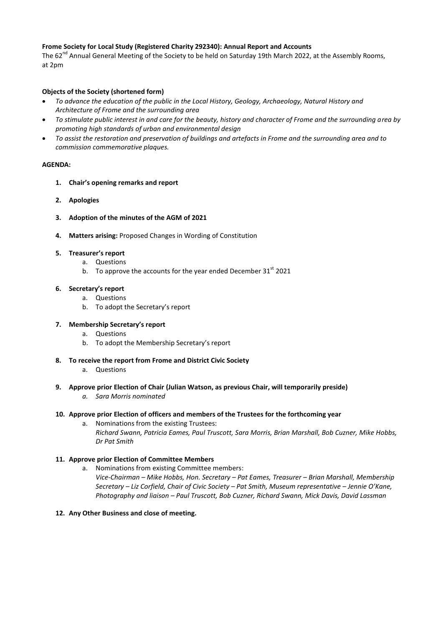### **Frome Society for Local Study (Registered Charity 292340): Annual Report and Accounts**

The 62<sup>nd</sup> Annual General Meeting of the Society to be held on Saturday 19th March 2022, at the Assembly Rooms, at 2pm

# **Objects of the Society (shortened form)**

- *To advance the education of the public in the Local History, Geology, Archaeology, Natural History and Architecture of Frome and the surrounding area*
- *To stimulate public interest in and care for the beauty, history and character of Frome and the surrounding area by promoting high standards of urban and environmental design*
- *To assist the restoration and preservation of buildings and artefacts in Frome and the surrounding area and to commission commemorative plaques.*

### **AGENDA:**

- **1. Chair's opening remarks and report**
- **2. Apologies**
- **3. Adoption of the minutes of the AGM of 2021**
- **4. Matters arising:** Proposed Changes in Wording of Constitution

### **5. Treasurer's report**

- a. Questions
- b. To approve the accounts for the year ended December  $31<sup>st</sup>$  2021

# **6. Secretary's report**

- a. Questions
- b. To adopt the Secretary's report

# **7. Membership Secretary's report**

- a. Questions
- b. To adopt the Membership Secretary's report
- **8. To receive the report from Frome and District Civic Society**
	- a. Questions
- **9. Approve prior Election of Chair (Julian Watson, as previous Chair, will temporarily preside)** *a. Sara Morris nominated*

### **10. Approve prior Election of officers and members of the Trustees for the forthcoming year**

a. Nominations from the existing Trustees: *Richard Swann, Patricia Eames, Paul Truscott, Sara Morris, Brian Marshall, Bob Cuzner, Mike Hobbs, Dr Pat Smith*

# **11. Approve prior Election of Committee Members**

- a. Nominations from existing Committee members: *Vice-Chairman – Mike Hobbs, Hon. Secretary – Pat Eames, Treasurer – Brian Marshall, Membership Secretary – Liz Corfield, Chair of Civic Society – Pat Smith, Museum representative – Jennie O'Kane, Photography and liaison – Paul Truscott, Bob Cuzner, Richard Swann, Mick Davis, David Lassman*
- **12. Any Other Business and close of meeting.**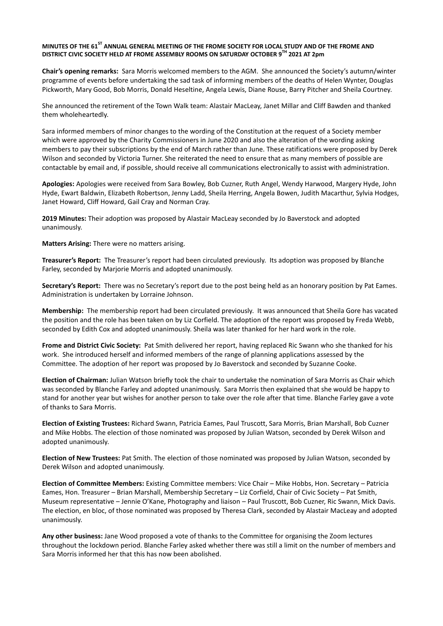#### **MINUTES OF THE 61ST ANNUAL GENERAL MEETING OF THE FROME SOCIETY FOR LOCAL STUDY AND OF THE FROME AND DISTRICT CIVIC SOCIETY HELD AT FROME ASSEMBLY ROOMS ON SATURDAY OCTOBER 9TH 2021 AT 2pm**

**Chair's opening remarks:** Sara Morris welcomed members to the AGM. She announced the Society's autumn/winter programme of events before undertaking the sad task of informing members of the deaths of Helen Wynter, Douglas Pickworth, Mary Good, Bob Morris, Donald Heseltine, Angela Lewis, Diane Rouse, Barry Pitcher and Sheila Courtney.

She announced the retirement of the Town Walk team: Alastair MacLeay, Janet Millar and Cliff Bawden and thanked them wholeheartedly.

Sara informed members of minor changes to the wording of the Constitution at the request of a Society member which were approved by the Charity Commissioners in June 2020 and also the alteration of the wording asking members to pay their subscriptions by the end of March rather than June. These ratifications were proposed by Derek Wilson and seconded by Victoria Turner. She reiterated the need to ensure that as many members of possible are contactable by email and, if possible, should receive all communications electronically to assist with administration.

**Apologies:** Apologies were received from Sara Bowley, Bob Cuzner, Ruth Angel, Wendy Harwood, Margery Hyde, John Hyde, Ewart Baldwin, Elizabeth Robertson, Jenny Ladd, Sheila Herring, Angela Bowen, Judith Macarthur, Sylvia Hodges, Janet Howard, Cliff Howard, Gail Cray and Norman Cray.

**2019 Minutes:** Their adoption was proposed by Alastair MacLeay seconded by Jo Baverstock and adopted unanimously.

**Matters Arising:** There were no matters arising.

**Treasurer's Report:** The Treasurer's report had been circulated previously. Its adoption was proposed by Blanche Farley, seconded by Marjorie Morris and adopted unanimously.

**Secretary's Report:** There was no Secretary's report due to the post being held as an honorary position by Pat Eames. Administration is undertaken by Lorraine Johnson.

**Membership:** The membership report had been circulated previously. It was announced that Sheila Gore has vacated the position and the role has been taken on by Liz Corfield. The adoption of the report was proposed by Freda Webb, seconded by Edith Cox and adopted unanimously. Sheila was later thanked for her hard work in the role.

**Frome and District Civic Society:** Pat Smith delivered her report, having replaced Ric Swann who she thanked for his work. She introduced herself and informed members of the range of planning applications assessed by the Committee. The adoption of her report was proposed by Jo Baverstock and seconded by Suzanne Cooke.

**Election of Chairman:** Julian Watson briefly took the chair to undertake the nomination of Sara Morris as Chair which was seconded by Blanche Farley and adopted unanimously. Sara Morris then explained that she would be happy to stand for another year but wishes for another person to take over the role after that time. Blanche Farley gave a vote of thanks to Sara Morris.

**Election of Existing Trustees:** Richard Swann, Patricia Eames, Paul Truscott, Sara Morris, Brian Marshall, Bob Cuzner and Mike Hobbs. The election of those nominated was proposed by Julian Watson, seconded by Derek Wilson and adopted unanimously.

**Election of New Trustees:** Pat Smith. The election of those nominated was proposed by Julian Watson, seconded by Derek Wilson and adopted unanimously.

**Election of Committee Members:** Existing Committee members: Vice Chair – Mike Hobbs, Hon. Secretary – Patricia Eames, Hon. Treasurer – Brian Marshall, Membership Secretary – Liz Corfield, Chair of Civic Society – Pat Smith, Museum representative – Jennie O'Kane, Photography and liaison – Paul Truscott, Bob Cuzner, Ric Swann, Mick Davis. The election, en bloc, of those nominated was proposed by Theresa Clark, seconded by Alastair MacLeay and adopted unanimously.

**Any other business:** Jane Wood proposed a vote of thanks to the Committee for organising the Zoom lectures throughout the lockdown period. Blanche Farley asked whether there was still a limit on the number of members and Sara Morris informed her that this has now been abolished.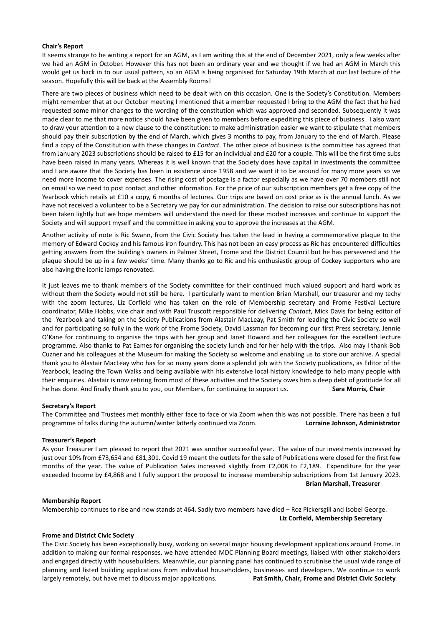#### **Chair's Report**

It seems strange to be writing a report for an AGM, as I am writing this at the end of December 2021, only a few weeks after we had an AGM in October. However this has not been an ordinary year and we thought if we had an AGM in March this would get us back in to our usual pattern, so an AGM is being organised for Saturday 19th March at our last lecture of the season. Hopefully this will be back at the Assembly Rooms!

There are two pieces of business which need to be dealt with on this occasion. One is the Society's Constitution. Members might remember that at our October meeting I mentioned that a member requested I bring to the AGM the fact that he had requested some minor changes to the wording of the constitution which was approved and seconded. Subsequently it was made clear to me that more notice should have been given to members before expediting this piece of business. I also want to draw your attention to a new clause to the constitution: to make administration easier we want to stipulate that members should pay their subscription by the end of March, which gives 3 months to pay, from January to the end of March. Please find a copy of the Constitution with these changes in *Contact*. The other piece of business is the committee has agreed that from January 2023 subscriptions should be raised to £15 for an individual and £20 for a couple. This will be the first time subs have been raised in many years. Whereas it is well known that the Society does have capital in investments the committee and I are aware that the Society has been in existence since 1958 and we want it to be around for many more years so we need more income to cover expenses. The rising cost of postage is a factor especially as we have over 70 members still not on email so we need to post contact and other information. For the price of our subscription members get a free copy of the Yearbook which retails at £10 a copy, 6 months of lectures. Our trips are based on cost price as is the annual lunch. As we have not received a volunteer to be a Secretary we pay for our administration. The decision to raise our subscriptions has not been taken lightly but we hope members will understand the need for these modest increases and continue to support the Society and will support myself and the committee in asking you to approve the increases at the AGM.

Another activity of note is Ric Swann, from the Civic Society has taken the lead in having a commemorative plaque to the memory of Edward Cockey and his famous iron foundry. This has not been an easy process as Ric has encountered difficulties getting answers from the building's owners in Palmer Street, Frome and the District Council but he has persevered and the plaque should be up in a few weeks' time. Many thanks go to Ric and his enthusiastic group of Cockey supporters who are also having the iconic lamps renovated.

It just leaves me to thank members of the Society committee for their continued much valued support and hard work as without them the Society would not still be here. I particularly want to mention Brian Marshall, our treasurer and my techy with the zoom lectures, Liz Corfield who has taken on the role of Membership secretary and Frome Festival Lecture coordinator, Mike Hobbs, vice chair and with Paul Truscott responsible for delivering *Contact*, Mick Davis for being editor of the Yearbook and taking on the Society Publications from Alastair MacLeay, Pat Smith for leading the Civic Society so well and for participating so fully in the work of the Frome Society, David Lassman for becoming our first Press secretary, Jennie O'Kane for continuing to organise the trips with her group and Janet Howard and her colleagues for the excellent lecture programme. Also thanks to Pat Eames for organising the society lunch and for her help with the trips. Also may I thank Bob Cuzner and his colleagues at the Museum for making the Society so welcome and enabling us to store our archive. A special thank you to Alastair MacLeay who has for so many years done a splendid job with the Society publications, as Editor of the Yearbook, leading the Town Walks and being available with his extensive local history knowledge to help many people with their enquiries. Alastair is now retiring from most of these activities and the Society owes him a deep debt of gratitude for all he has done. And finally thank you to you, our Members, for continuing to support us. **Sara Morris, Chair**

#### **Secretary's Report**

The Committee and Trustees met monthly either face to face or via Zoom when this was not possible. There has been a full programme of talks during the autumn/winter latterly continued via Zoom. **Lorraine Johnson, Administrator**

#### **Treasurer's Report**

As your Treasurer I am pleased to report that 2021 was another successful year. The value of our investments increased by just over 10% from £73,654 and £81,301. Covid 19 meant the outlets for the sale of Publications were closed for the first few months of the year. The value of Publication Sales increased slightly from £2,008 to £2,189. Expenditure for the year exceeded Income by £4,868 and I fully support the proposal to increase membership subscriptions from 1st January 2023. **Brian Marshall, Treasurer** 

#### **Membership Report**

Membership continues to rise and now stands at 464. Sadly two members have died – Roz Pickersgill and Isobel George. **Liz Corfield, Membership Secretary**

#### **Frome and District Civic Society**

The Civic Society has been exceptionally busy, working on several major housing development applications around Frome. In addition to making our formal responses, we have attended MDC Planning Board meetings, liaised with other stakeholders and engaged directly with housebuilders. Meanwhile, our planning panel has continued to scrutinise the usual wide range of planning and listed building applications from individual householders, businesses and developers. We continue to work largely remotely, but have met to discuss major applications. **Pat Smith, Chair, Frome and District Civic Society**